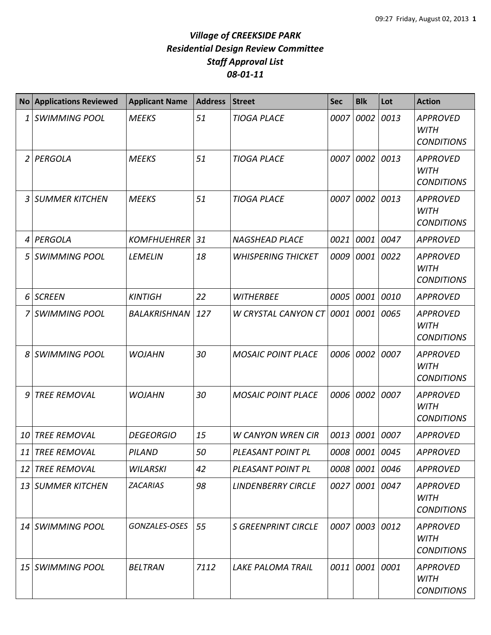## *Village of CREEKSIDE PARK Residential Design Review Committee Staff Approval List 08-01-11*

| <b>No</b> | <b>Applications Reviewed</b> | <b>Applicant Name</b> | <b>Address</b> | <b>Street</b>              | <b>Sec</b> | <b>Blk</b>     | Lot  | <b>Action</b>                                       |
|-----------|------------------------------|-----------------------|----------------|----------------------------|------------|----------------|------|-----------------------------------------------------|
| 1         | <b>SWIMMING POOL</b>         | <b>MEEKS</b>          | 51             | <b>TIOGA PLACE</b>         | 0007       | 0002           | 0013 | <b>APPROVED</b><br><b>WITH</b><br><b>CONDITIONS</b> |
|           | 2 PERGOLA                    | <b>MEEKS</b>          | 51             | <b>TIOGA PLACE</b>         | 0007       | 0002           | 0013 | <b>APPROVED</b><br><b>WITH</b><br><b>CONDITIONS</b> |
| 3         | <b>SUMMER KITCHEN</b>        | <b>MEEKS</b>          | 51             | <b>TIOGA PLACE</b>         | 0007       | 0002           | 0013 | <b>APPROVED</b><br><b>WITH</b><br><b>CONDITIONS</b> |
| 4         | <b>PERGOLA</b>               | <b>KOMFHUEHRER</b>    | 31             | <b>NAGSHEAD PLACE</b>      | 0021       | 0001           | 0047 | <b>APPROVED</b>                                     |
| 5         | <b>SWIMMING POOL</b>         | <b>LEMELIN</b>        | 18             | <b>WHISPERING THICKET</b>  | 0009       | 0001           | 0022 | <b>APPROVED</b><br><b>WITH</b><br><b>CONDITIONS</b> |
| 6         | <b>SCREEN</b>                | <b>KINTIGH</b>        | 22             | <b>WITHERBEE</b>           | 0005       | 0001           | 0010 | <b>APPROVED</b>                                     |
|           | <b>SWIMMING POOL</b>         | BALAKRISHNAN          | 127            | W CRYSTAL CANYON CT 0001   |            | 0001           | 0065 | <b>APPROVED</b><br><b>WITH</b><br><b>CONDITIONS</b> |
| 8         | <b>SWIMMING POOL</b>         | <b>WOJAHN</b>         | 30             | <b>MOSAIC POINT PLACE</b>  | 0006       | 0002           | 0007 | <b>APPROVED</b><br><b>WITH</b><br><b>CONDITIONS</b> |
| 9         | <b>TREE REMOVAL</b>          | <b>WOJAHN</b>         | 30             | <b>MOSAIC POINT PLACE</b>  | 0006       | 0002           | 0007 | <b>APPROVED</b><br><b>WITH</b><br><b>CONDITIONS</b> |
| 10        | TREE REMOVAL                 | <b>DEGEORGIO</b>      | 15             | <b>W CANYON WREN CIR</b>   | 0013       | 0001 0007      |      | <b>APPROVED</b>                                     |
|           | 11 TREE REMOVAL              | PILAND                | 50             | PLEASANT POINT PL          |            | 0008 0001 0045 |      | <b>APPROVED</b>                                     |
| 12        | TREE REMOVAL                 | WILARSKI              | 42             | PLEASANT POINT PL          | 0008       | 0001 0046      |      | <b>APPROVED</b>                                     |
|           | 13 SUMMER KITCHEN            | <b>ZACARIAS</b>       | 98             | <b>LINDENBERRY CIRCLE</b>  | 0027       | 0001 0047      |      | <b>APPROVED</b><br><b>WITH</b><br><b>CONDITIONS</b> |
|           | 14 SWIMMING POOL             | GONZALES-OSES         | 55             | <b>S GREENPRINT CIRCLE</b> |            | 0007 0003 0012 |      | <b>APPROVED</b><br><b>WITH</b><br><b>CONDITIONS</b> |
|           | 15 SWIMMING POOL             | <b>BELTRAN</b>        | 7112           | <b>LAKE PALOMA TRAIL</b>   |            | 0011 0001 0001 |      | <b>APPROVED</b><br><b>WITH</b><br><b>CONDITIONS</b> |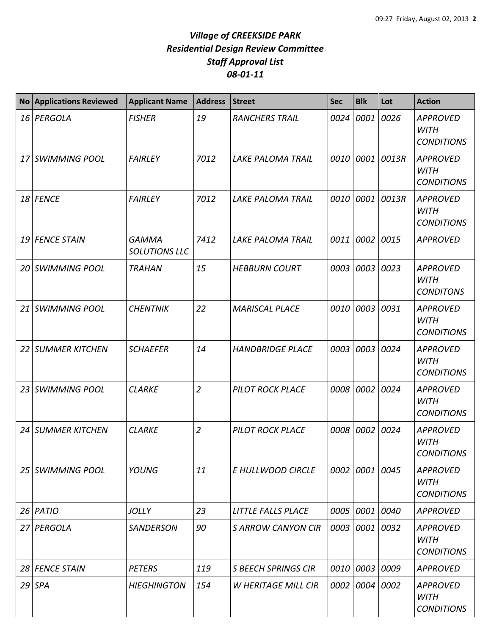## *Village of CREEKSIDE PARK Residential Design Review Committee Staff Approval List 08-01-11*

| <b>No</b> | <b>Applications Reviewed</b> | <b>Applicant Name</b>         | <b>Address</b> | <b>Street</b>              | <b>Sec</b> | <b>Blk</b>     | Lot             | <b>Action</b>                                       |
|-----------|------------------------------|-------------------------------|----------------|----------------------------|------------|----------------|-----------------|-----------------------------------------------------|
|           | 16 PERGOLA                   | <b>FISHER</b>                 | 19             | <b>RANCHERS TRAIL</b>      | 0024       | 0001           | 0026            | <b>APPROVED</b><br><b>WITH</b><br><b>CONDITIONS</b> |
|           | 17 SWIMMING POOL             | <b>FAIRLEY</b>                | 7012           | <b>LAKE PALOMA TRAIL</b>   |            |                | 0010 0001 0013R | <b>APPROVED</b><br><b>WITH</b><br><b>CONDITIONS</b> |
|           | 18 FENCE                     | <b>FAIRLEY</b>                | 7012           | <b>LAKE PALOMA TRAIL</b>   |            | 0010 0001      | 0013R           | <b>APPROVED</b><br><b>WITH</b><br><b>CONDITIONS</b> |
|           | 19 FENCE STAIN               | <b>GAMMA</b><br>SOLUTIONS LLC | 7412           | <b>LAKE PALOMA TRAIL</b>   | 0011       | 0002           | 0015            | <b>APPROVED</b>                                     |
|           | 20 SWIMMING POOL             | <b>TRAHAN</b>                 | 15             | <b>HEBBURN COURT</b>       | 0003       | 0003           | 0023            | <b>APPROVED</b><br><b>WITH</b><br><b>CONDITONS</b>  |
|           | 21 SWIMMING POOL             | <b>CHENTNIK</b>               | 22             | <b>MARISCAL PLACE</b>      | 0010       | 0003 0031      |                 | <b>APPROVED</b><br><b>WITH</b><br><b>CONDITIONS</b> |
|           | 22 SUMMER KITCHEN            | <b>SCHAEFER</b>               | 14             | <b>HANDBRIDGE PLACE</b>    | 0003       | 0003 0024      |                 | <b>APPROVED</b><br><b>WITH</b><br><b>CONDITIONS</b> |
|           | 23 SWIMMING POOL             | <b>CLARKE</b>                 | $\overline{2}$ | <b>PILOT ROCK PLACE</b>    |            | 0008 0002      | 0024            | <b>APPROVED</b><br><b>WITH</b><br><b>CONDITIONS</b> |
|           | 24 SUMMER KITCHEN            | <b>CLARKE</b>                 | $\overline{2}$ | <b>PILOT ROCK PLACE</b>    | 0008       | 0002           | 0024            | <b>APPROVED</b><br><b>WITH</b><br><b>CONDITIONS</b> |
|           | 25 SWIMMING POOL             | YOUNG                         | 11             | E HULLWOOD CIRCLE          |            | 0002 0001 0045 |                 | <b>APPROVED</b><br><b>WITH</b><br><b>CONDITIONS</b> |
|           | 26 PATIO                     | <b>JOLLY</b>                  | 23             | LITTLE FALLS PLACE         |            | 0005 0001 0040 |                 | <b>APPROVED</b>                                     |
|           | 27 PERGOLA                   | <b>SANDERSON</b>              | 90             | <b>SARROW CANYON CIR</b>   |            | 0003 0001 0032 |                 | <b>APPROVED</b><br><b>WITH</b><br><b>CONDITIONS</b> |
|           | 28 FENCE STAIN               | <b>PETERS</b>                 | 119            | <b>S BEECH SPRINGS CIR</b> |            | 0010 0003 0009 |                 | <b>APPROVED</b>                                     |
|           | $29$ SPA                     | <b>HIEGHINGTON</b>            | 154            | <b>W HERITAGE MILL CIR</b> |            | 0002 0004 0002 |                 | <b>APPROVED</b><br><b>WITH</b><br><b>CONDITIONS</b> |